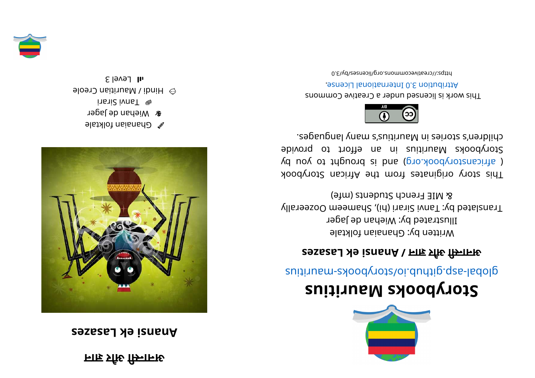## **ना र औी सा न अ**

## **khallar** *keizes*



- $\bullet$  Ghanaian folktale
- **r** Wiehan de Jager insni2 ivnaT <sup>o</sup>
- $\odot$  Hindi / Mauritian Creole
- $\epsilon$  level 3





## **<sup>s</sup> ui ti r ua Mskoobyr otS**

suitius rate.gliquor syoodynotal abolisting and the suiting

## **sezasaL kei <sup>s</sup> nanA/ ना र औी सा न अ**

Written by: Ghanaian folktale Illustrated by: Wiehan de Jager Translated by: Tanni Sirari (hi), Shameem Oozeerally 8 MIE French Students (mfe)

This story originates from the African Storybook ( africanstorybook.org) and is brought to you by Storybooks Mauritius in an effort to provide segaugnal ynam s'zuitius Manris s'nenblid.



This work is licensed under a Creative Commons . esnecial lanoit and the change.

0. E\\d\zesnecil\pro. 2nommons.org/licenses/by/3.0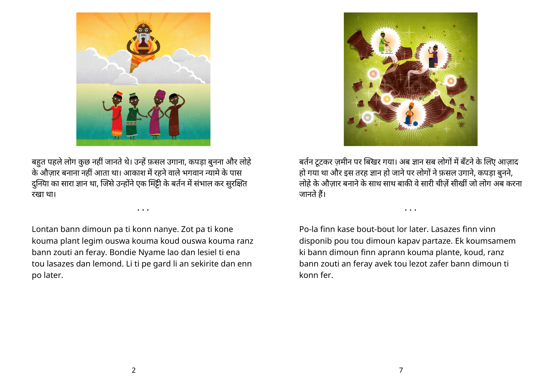

बर्तन टूटकर ज़मीन पर बिखर गया। अब ज्ञान सब लोगों में बँटने के लिए आज़ाद हो गया था और इस तरह ज्ञान हो जाने पर लोगों ने फ़सल उगाने, कपड़ा बुनने, लोहे के औज़ार बनाने के साथ साथ बाकी वे सारी चीज़ें सीखीं जो लोग अब करना जानते हैं।

• • •

Po-la finn kase bout-bout lor later. Lasazes finn vinn disponib pou tou dimoun kapav partaze. Ek koumsamem ki bann dimoun finn aprann kouma plante, koud, ranz bann zouti an feray avek tou lezot zafer bann dimoun ti konn fer.



बहुत पहले लोग कुछ नहीं जानते थे। उन्हें फ़सल उगाना, कपड़ा बुनना और लोहें के औज़ार बनाना नहीं आता था। आकाश में रहने वाले भगवान न्यामे के पास दुनिया का सारा ज्ञान था, जिसे उन्होंने एक मिट्टी के बर्तन में संभाल कर सुरक्षित रखा था।

Lontan bann dimoun pa ti konn nanye. Zot pa ti kone kouma plant legim ouswa kouma koud ouswa kouma ranz bann zouti an feray. Bondie Nyame lao dan lesiel ti ena tou lasazes dan lemond. Li ti pe gard li an sekirite dan enn po later.

• • •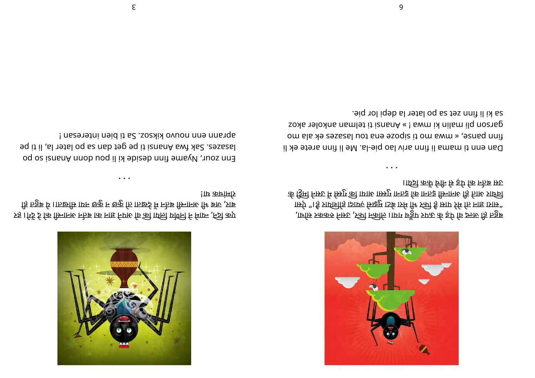

रहे। गिर्दे दे कि सिनानर नजे वा को नाइ निएर कि की वर्षि यार्की सा निर्दे कुए ड़ि प्रत्नुष्ठ र्छ ।।ा छिमि ग्राफ छकु न छकु ति ।ा छिर्द्र मि नोज किनानरु 11 षा का ,प्राष्ठ !ाए कानामोर

• • •

Enn sour, Myame finn be sign in the mode is included as is a set of osion sed of osions and original and origi lasas. Sak fwa Anansi ti pe get dan sa po later la, li ti pe ! naseretni neid it aS .soakix ovuon nne nnarqs



,ार्चाम्र प्रककर निरुट ,ऽत्यी न्त्कीलि ।।ाया प्र्न्ड्रैप प्र्प्रन्ट र्क इपि कि रुजरु हि ।त्र्हुरू ार्स्र्ए "। है प्रार्थशींड ाञ्चारू सिझूम १५६ तमे मैर स्त्री ई स्राए र्रम कि नाह 191स" के र्डिमो निरुट मे स्त्रिग को 1एगरू गाम्जर गरू का निरुद्ध गा नहीं तो नाक आईचे ।ार्क्ट्री रूर्तेग निर्मित के इपि कि न्हेज़ स्रष्ट

• • •

Dan enn ti mama li finn ariv lao pie-la. Annif il a sua ne da li fom site was more to make a source serving site of the sector. zoxa na lim isnang a mana na mana na masa bara a kosa a mana a kosa a mana a mana na mana na mana na mana na m sa ki li finn zet sa po later la depi lor pie.